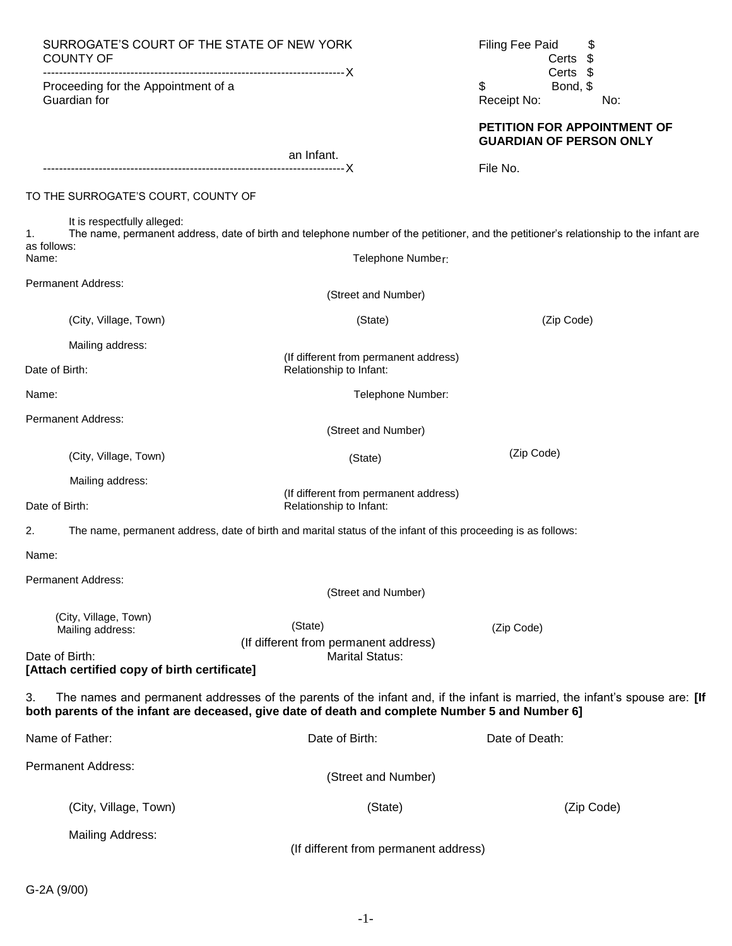| SURROGATE'S COURT OF THE STATE OF NEW YORK<br>COUNTY OF                                               |                                                                                                               | <b>Filing Fee Paid</b><br>\$<br>\$<br>Certs<br>Certs \$                                                                                |
|-------------------------------------------------------------------------------------------------------|---------------------------------------------------------------------------------------------------------------|----------------------------------------------------------------------------------------------------------------------------------------|
| Proceeding for the Appointment of a<br>Guardian for                                                   |                                                                                                               | \$<br>Bond, \$<br>Receipt No:<br>No:                                                                                                   |
|                                                                                                       | an Infant.                                                                                                    | PETITION FOR APPOINTMENT OF<br><b>GUARDIAN OF PERSON ONLY</b>                                                                          |
|                                                                                                       |                                                                                                               | File No.                                                                                                                               |
| TO THE SURROGATE'S COURT, COUNTY OF                                                                   |                                                                                                               |                                                                                                                                        |
| It is respectfully alleged:<br>1.<br>as follows:<br>Name:                                             | Telephone Number:                                                                                             | The name, permanent address, date of birth and telephone number of the petitioner, and the petitioner's relationship to the infant are |
| Permanent Address:                                                                                    | (Street and Number)                                                                                           |                                                                                                                                        |
| (City, Village, Town)                                                                                 | (State)                                                                                                       | (Zip Code)                                                                                                                             |
| Mailing address:<br>Date of Birth:                                                                    | (If different from permanent address)<br>Relationship to Infant:                                              |                                                                                                                                        |
| Name:                                                                                                 | Telephone Number:                                                                                             |                                                                                                                                        |
| Permanent Address:                                                                                    | (Street and Number)                                                                                           |                                                                                                                                        |
| (City, Village, Town)                                                                                 | (State)                                                                                                       | (Zip Code)                                                                                                                             |
| Mailing address:                                                                                      | (If different from permanent address)                                                                         |                                                                                                                                        |
| Date of Birth:                                                                                        | Relationship to Infant:                                                                                       |                                                                                                                                        |
| 2.                                                                                                    | The name, permanent address, date of birth and marital status of the infant of this proceeding is as follows: |                                                                                                                                        |
| Name:                                                                                                 |                                                                                                               |                                                                                                                                        |
| Permanent Address:                                                                                    | (Street and Number)                                                                                           |                                                                                                                                        |
| (City, Village, Town)<br>Mailing address:                                                             | (State)<br>(If different from permanent address)                                                              | (Zip Code)                                                                                                                             |
| Date of Birth:<br>[Attach certified copy of birth certificate]                                        | <b>Marital Status:</b>                                                                                        |                                                                                                                                        |
| 3.<br>both parents of the infant are deceased, give date of death and complete Number 5 and Number 6] |                                                                                                               | The names and permanent addresses of the parents of the infant and, if the infant is married, the infant's spouse are: [If             |
| Name of Father:                                                                                       | Date of Birth:                                                                                                | Date of Death:                                                                                                                         |
| <b>Permanent Address:</b>                                                                             | (Street and Number)                                                                                           |                                                                                                                                        |
| (City, Village, Town)                                                                                 | (State)                                                                                                       | (Zip Code)                                                                                                                             |
| <b>Mailing Address:</b>                                                                               | (If different from permanent address)                                                                         |                                                                                                                                        |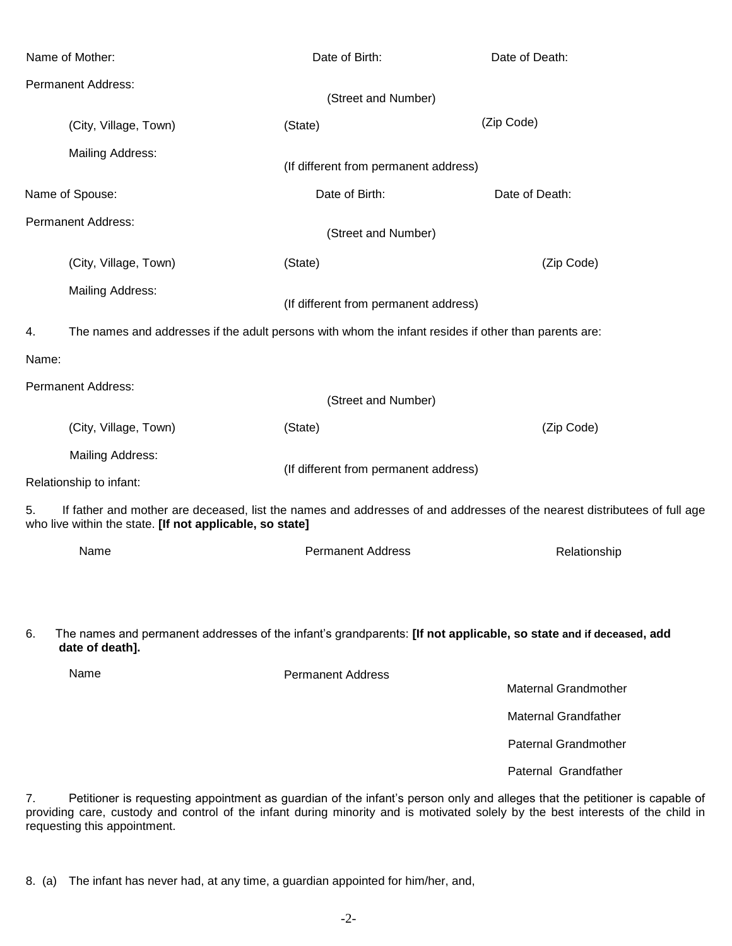|       | Name of Mother:                                                                                                                                                                      | Date of Birth:                        | Date of Death:              |  |  |
|-------|--------------------------------------------------------------------------------------------------------------------------------------------------------------------------------------|---------------------------------------|-----------------------------|--|--|
|       | <b>Permanent Address:</b>                                                                                                                                                            |                                       |                             |  |  |
|       |                                                                                                                                                                                      | (Street and Number)                   |                             |  |  |
|       | (City, Village, Town)                                                                                                                                                                | (State)                               | (Zip Code)                  |  |  |
|       | <b>Mailing Address:</b>                                                                                                                                                              | (If different from permanent address) |                             |  |  |
|       | Name of Spouse:                                                                                                                                                                      | Date of Birth:                        | Date of Death:              |  |  |
|       | <b>Permanent Address:</b>                                                                                                                                                            | (Street and Number)                   |                             |  |  |
|       | (City, Village, Town)                                                                                                                                                                | (State)                               | (Zip Code)                  |  |  |
|       | Mailing Address:                                                                                                                                                                     | (If different from permanent address) |                             |  |  |
| 4.    | The names and addresses if the adult persons with whom the infant resides if other than parents are:                                                                                 |                                       |                             |  |  |
| Name: |                                                                                                                                                                                      |                                       |                             |  |  |
|       | <b>Permanent Address:</b>                                                                                                                                                            |                                       |                             |  |  |
|       |                                                                                                                                                                                      | (Street and Number)                   |                             |  |  |
|       | (City, Village, Town)                                                                                                                                                                | (State)                               | (Zip Code)                  |  |  |
|       | <b>Mailing Address:</b><br>(If different from permanent address)<br>Relationship to infant:                                                                                          |                                       |                             |  |  |
|       |                                                                                                                                                                                      |                                       |                             |  |  |
| 5.    | If father and mother are deceased, list the names and addresses of and addresses of the nearest distributees of full age<br>who live within the state. [If not applicable, so state] |                                       |                             |  |  |
|       | Name                                                                                                                                                                                 | <b>Permanent Address</b>              | Relationship                |  |  |
|       |                                                                                                                                                                                      |                                       |                             |  |  |
| 6.    | The names and permanent addresses of the infant's grandparents: [If not applicable, so state and if deceased, add<br>date of death].                                                 |                                       |                             |  |  |
|       | Name                                                                                                                                                                                 | <b>Permanent Address</b>              | <b>Maternal Grandmother</b> |  |  |

Maternal Grandfather

Paternal Grandmother

Paternal Grandfather

7. Petitioner is requesting appointment as guardian of the infant's person only and alleges that the petitioner is capable of providing care, custody and control of the infant during minority and is motivated solely by the best interests of the child in requesting this appointment.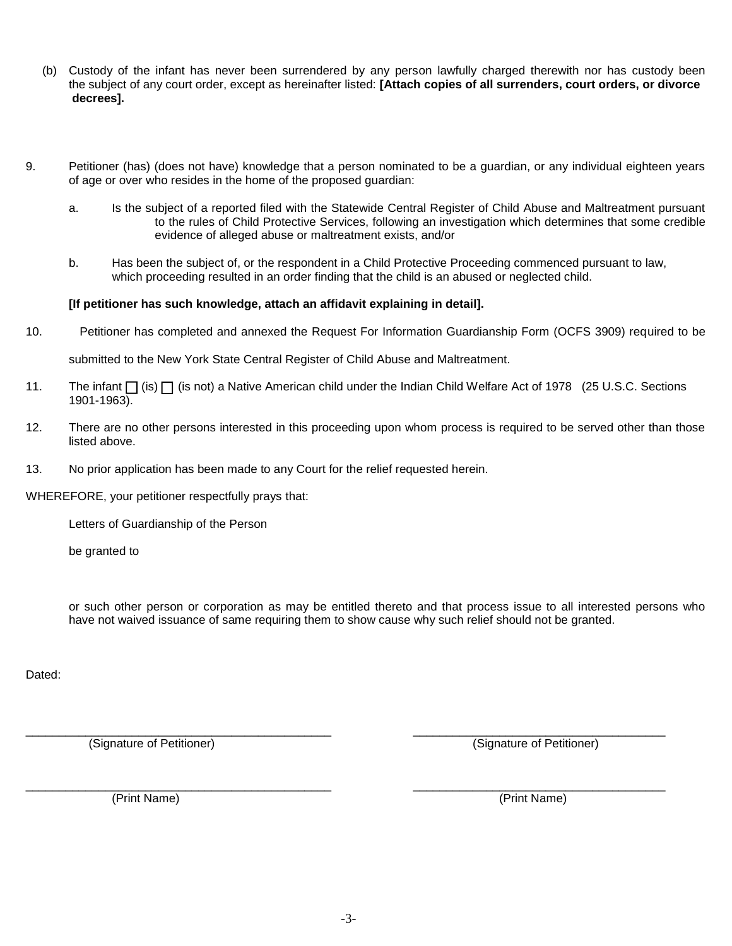- (b) Custody of the infant has never been surrendered by any person lawfully charged therewith nor has custody been the subject of any court order, except as hereinafter listed: **[Attach copies of all surrenders, court orders, or divorce decrees].**
- 9. Petitioner (has) (does not have) knowledge that a person nominated to be a guardian, or any individual eighteen years of age or over who resides in the home of the proposed guardian:
	- a. Is the subject of a reported filed with the Statewide Central Register of Child Abuse and Maltreatment pursuant to the rules of Child Protective Services, following an investigation which determines that some credible evidence of alleged abuse or maltreatment exists, and/or
	- b. Has been the subject of, or the respondent in a Child Protective Proceeding commenced pursuant to law, which proceeding resulted in an order finding that the child is an abused or neglected child.

## **[If petitioner has such knowledge, attach an affidavit explaining in detail].**

10. Petitioner has completed and annexed the Request For Information Guardianship Form (OCFS 3909) required to be

submitted to the New York State Central Register of Child Abuse and Maltreatment.

- 11. The infant  $\prod$  (is)  $\prod$  (is not) a Native American child under the Indian Child Welfare Act of 1978 (25 U.S.C. Sections 1901-1963).
- 12. There are no other persons interested in this proceeding upon whom process is required to be served other than those listed above.
- 13. No prior application has been made to any Court for the relief requested herein.

WHEREFORE, your petitioner respectfully prays that:

Letters of Guardianship of the Person

be granted to

or such other person or corporation as may be entitled thereto and that process issue to all interested persons who have not waived issuance of same requiring them to show cause why such relief should not be granted.

Dated:

(Signature of Petitioner) (Signature of Petitioner)

\_\_\_\_\_\_\_\_\_\_\_\_\_\_\_\_\_\_\_\_\_\_\_\_\_\_\_\_\_\_\_\_\_\_\_\_\_\_\_\_\_\_\_\_\_\_ \_\_\_\_\_\_\_\_\_\_\_\_\_\_\_\_\_\_\_\_\_\_\_\_\_\_\_\_\_\_\_\_\_\_\_\_\_\_ (Print Name) (Print Name)

\_\_\_\_\_\_\_\_\_\_\_\_\_\_\_\_\_\_\_\_\_\_\_\_\_\_\_\_\_\_\_\_\_\_\_\_\_\_\_\_\_\_\_\_\_\_ \_\_\_\_\_\_\_\_\_\_\_\_\_\_\_\_\_\_\_\_\_\_\_\_\_\_\_\_\_\_\_\_\_\_\_\_\_\_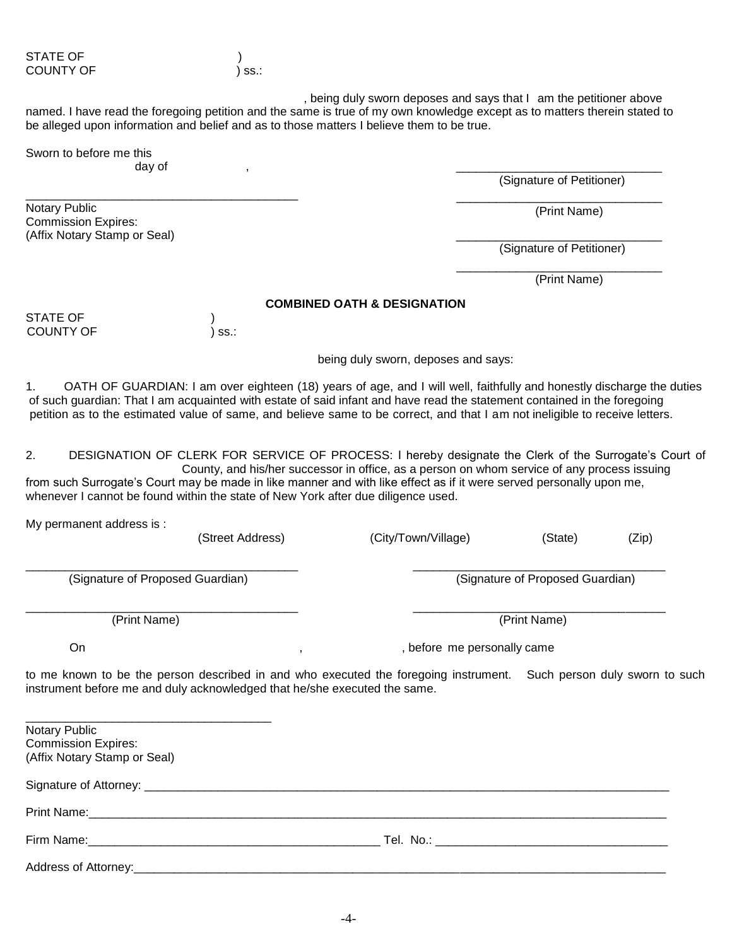, being duly sworn deposes and says that I am the petitioner above named. I have read the foregoing petition and the same is true of my own knowledge except as to matters therein stated to be alleged upon information and belief and as to those matters I believe them to be true.

 $\overline{\phantom{a}}$  , and the contract of the contract of the contract of the contract of the contract of the contract of the contract of the contract of the contract of the contract of the contract of the contract of the contrac

Sworn to before me this

Commission Expires: (Affix Notary Stamp or Seal)

day of , \_\_\_\_\_\_\_\_\_\_\_\_\_\_\_\_\_\_\_\_\_\_\_\_\_\_\_\_\_\_\_

(Signature of Petitioner)

Notary Public (Print Name)

(Signature of Petitioner)

\_\_\_\_\_\_\_\_\_\_\_\_\_\_\_\_\_\_\_\_\_\_\_\_\_\_\_\_\_\_\_ (Print Name)

## **COMBINED OATH & DESIGNATION**

STATE OF  $\qquad \qquad$  ) COUNTY OF  $|$  ss.:

being duly sworn, deposes and says:

1. OATH OF GUARDIAN: I am over eighteen (18) years of age, and I will well, faithfully and honestly discharge the duties of such guardian: That I am acquainted with estate of said infant and have read the statement contained in the foregoing petition as to the estimated value of same, and believe same to be correct, and that I am not ineligible to receive letters.

2. DESIGNATION OF CLERK FOR SERVICE OF PROCESS: I hereby designate the Clerk of the Surrogate's Court of County, and his/her successor in office, as a person on whom service of any process issuing from such Surrogate's Court may be made in like manner and with like effect as if it were served personally upon me, whenever I cannot be found within the state of New York after due diligence used.

\_\_\_\_\_\_\_\_\_\_\_\_\_\_\_\_\_\_\_\_\_\_\_\_\_\_\_\_\_\_\_\_\_\_\_\_\_\_\_\_\_ \_\_\_\_\_\_\_\_\_\_\_\_\_\_\_\_\_\_\_\_\_\_\_\_\_\_\_\_\_\_\_\_\_\_\_\_\_\_

My permanent address is :

(Street Address) (City/Town/Village) (State) (Zip)

(Signature of Proposed Guardian) (Signature of Proposed Guardian)

(Print Name) (Print Name)

\_\_\_\_\_\_\_\_\_\_\_\_\_\_\_\_\_\_\_\_\_\_\_\_\_\_\_\_\_\_\_\_\_\_\_\_\_\_\_\_\_ \_\_\_\_\_\_\_\_\_\_\_\_\_\_\_\_\_\_\_\_\_\_\_\_\_\_\_\_\_\_\_\_\_\_\_\_\_\_

On , , , , , , , , , before me personally came

to me known to be the person described in and who executed the foregoing instrument. Such person duly sworn to such instrument before me and duly acknowledged that he/she executed the same.

\_\_\_\_\_\_\_\_\_\_\_\_\_\_\_\_\_\_\_\_\_\_\_\_\_\_\_\_\_\_\_\_\_\_\_\_\_ Notary Public Commission Expires: (Affix Notary Stamp or Seal) Signature of Attorney: \_\_\_\_\_\_\_\_\_\_\_\_\_\_\_\_\_\_\_\_\_\_\_\_\_\_\_\_\_\_\_\_\_\_\_\_\_\_\_\_\_\_\_\_\_\_\_\_\_\_\_\_\_\_\_\_\_\_\_\_\_\_\_\_\_\_\_\_\_\_\_\_\_\_\_\_\_\_\_ Print Name:  $\Box$ Firm Name:\_\_\_\_\_\_\_\_\_\_\_\_\_\_\_\_\_\_\_\_\_\_\_\_\_\_\_\_\_\_\_\_\_\_\_\_\_\_\_\_\_\_\_\_ Tel. No.: \_\_\_\_\_\_\_\_\_\_\_\_\_\_\_\_\_\_\_\_\_\_\_\_\_\_\_\_\_\_\_\_\_\_\_ Address of Attorney:\_\_\_\_\_\_\_\_\_\_\_\_\_\_\_\_\_\_\_\_\_\_\_\_\_\_\_\_\_\_\_\_\_\_\_\_\_\_\_\_\_\_\_\_\_\_\_\_\_\_\_\_\_\_\_\_\_\_\_\_\_\_\_\_\_\_\_\_\_\_\_\_\_\_\_\_\_\_\_\_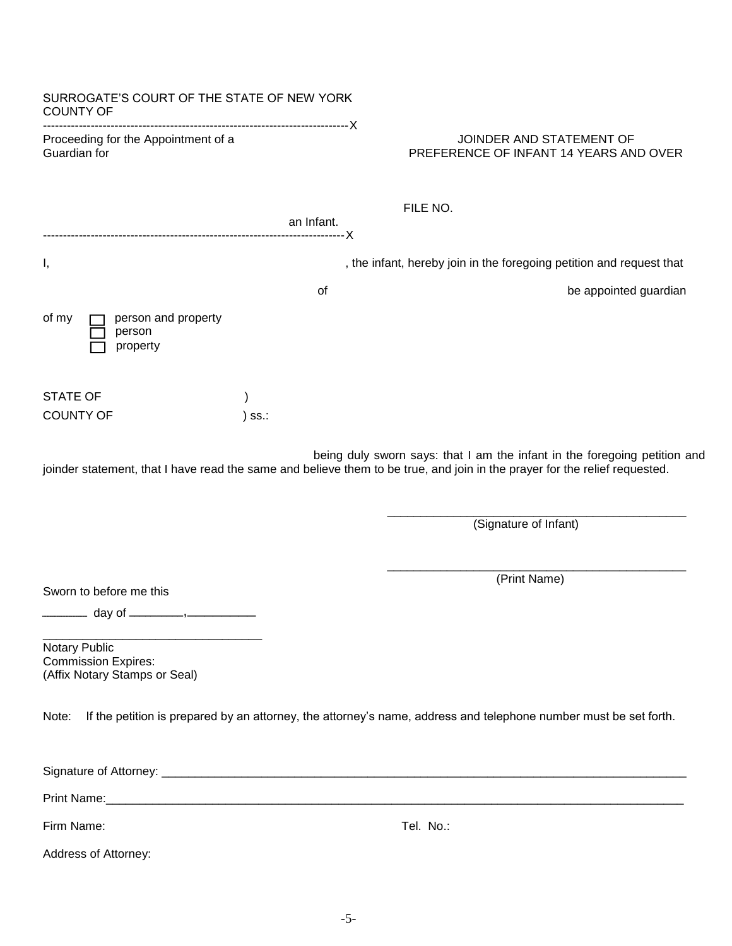| SURROGATE'S COURT OF THE STATE OF NEW YORK<br><b>COUNTY OF</b>               |            |                                                                                                                                                                                                                                |
|------------------------------------------------------------------------------|------------|--------------------------------------------------------------------------------------------------------------------------------------------------------------------------------------------------------------------------------|
| Proceeding for the Appointment of a<br>Guardian for                          |            | JOINDER AND STATEMENT OF<br>PREFERENCE OF INFANT 14 YEARS AND OVER                                                                                                                                                             |
|                                                                              | an Infant. | FILE NO.                                                                                                                                                                                                                       |
| Ι,                                                                           |            | , the infant, hereby join in the foregoing petition and request that                                                                                                                                                           |
|                                                                              | of         | be appointed guardian                                                                                                                                                                                                          |
| of my<br>person and property<br>person<br>property                           |            |                                                                                                                                                                                                                                |
| <b>STATE OF</b>                                                              |            |                                                                                                                                                                                                                                |
| <b>COUNTY OF</b>                                                             | ) ss.:     |                                                                                                                                                                                                                                |
|                                                                              |            | joinder statement, that I have read the same and believe them to be true, and join in the prayer for the relief requested.<br>(Signature of Infant)                                                                            |
| Sworn to before me this                                                      |            | (Print Name)                                                                                                                                                                                                                   |
|                                                                              |            |                                                                                                                                                                                                                                |
| Notary Public<br><b>Commission Expires:</b><br>(Affix Notary Stamps or Seal) |            |                                                                                                                                                                                                                                |
| Note:                                                                        |            | If the petition is prepared by an attorney, the attorney's name, address and telephone number must be set forth.                                                                                                               |
|                                                                              |            |                                                                                                                                                                                                                                |
|                                                                              |            | Print Name: 1988 Communication of the Communication of the Communication of the Communication of the Communication of the Communication of the Communication of the Communication of the Communication of the Communication of |
| Firm Name:                                                                   |            | Tel. No.:                                                                                                                                                                                                                      |
| Address of Attorney:                                                         |            |                                                                                                                                                                                                                                |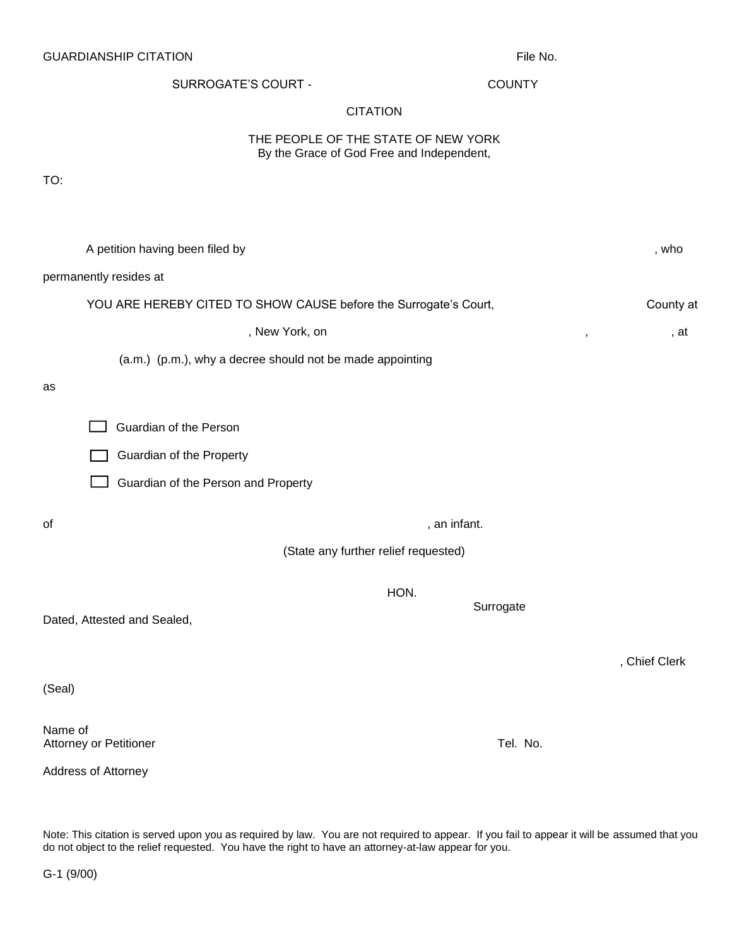**CITATION** THE PEOPLE OF THE STATE OF NEW YORK By the Grace of God Free and Independent, TO: A petition having been filed by  $\blacksquare$ , who permanently resides at YOU ARE HEREBY CITED TO SHOW CAUSE before the Surrogate's Court, County at County at , New York, on , , at (a.m.) (p.m.), why a decree should not be made appointing as Guardian of the Person Guardian of the Property Guardian of the Person and Property of example, an infant. (State any further relief requested) HON. Surrogate Dated, Attested and Sealed,

Note: This citation is served upon you as required by law. You are not required to appear. If you fail to appear it will be assumed that you

do not object to the relief requested. You have the right to have an attorney-at-law appear for you.

Name of

(Seal)

Address of Attorney

, Chief Clerk

Attorney or Petitioner Tel. No. **Attorney or Petitioner** Tel. No.

SURROGATE'S COURT - COUNTY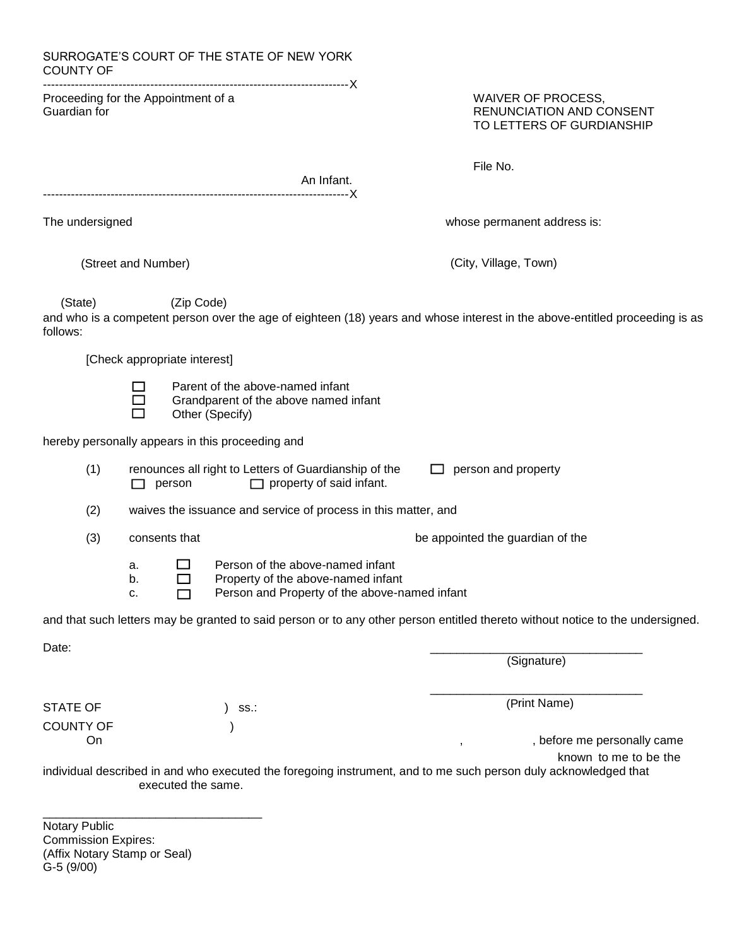| <b>COUNTY OF</b>                                    |                              |                                                                             | SURROGATE'S COURT OF THE STATE OF NEW YORK                                                   |                                                                                                                         |                                                                                                                                |
|-----------------------------------------------------|------------------------------|-----------------------------------------------------------------------------|----------------------------------------------------------------------------------------------|-------------------------------------------------------------------------------------------------------------------------|--------------------------------------------------------------------------------------------------------------------------------|
| Proceeding for the Appointment of a<br>Guardian for |                              | WAIVER OF PROCESS,<br>RENUNCIATION AND CONSENT<br>TO LETTERS OF GURDIANSHIP |                                                                                              |                                                                                                                         |                                                                                                                                |
|                                                     |                              |                                                                             |                                                                                              | An Infant.                                                                                                              | File No.                                                                                                                       |
| The undersigned                                     |                              |                                                                             |                                                                                              |                                                                                                                         | whose permanent address is:                                                                                                    |
|                                                     | (Street and Number)          |                                                                             |                                                                                              |                                                                                                                         | (City, Village, Town)                                                                                                          |
| (State)<br>follows:                                 |                              | (Zip Code)                                                                  |                                                                                              |                                                                                                                         | and who is a competent person over the age of eighteen (18) years and whose interest in the above-entitled proceeding is as    |
|                                                     | [Check appropriate interest] |                                                                             |                                                                                              |                                                                                                                         |                                                                                                                                |
|                                                     | $\sim$                       |                                                                             | Parent of the above-named infant<br>Grandparent of the above named infant<br>Other (Specify) |                                                                                                                         |                                                                                                                                |
|                                                     |                              |                                                                             | hereby personally appears in this proceeding and                                             |                                                                                                                         |                                                                                                                                |
| (1)                                                 | $\Box$ person                |                                                                             |                                                                                              | renounces all right to Letters of Guardianship of the<br>$\Box$ property of said infant.                                | $\Box$ person and property                                                                                                     |
| (2)                                                 |                              |                                                                             |                                                                                              | waives the issuance and service of process in this matter, and                                                          |                                                                                                                                |
| (3)                                                 |                              | consents that                                                               |                                                                                              |                                                                                                                         | be appointed the guardian of the                                                                                               |
|                                                     | a.<br>b.<br>c.               |                                                                             |                                                                                              | Person of the above-named infant<br>Property of the above-named infant<br>Person and Property of the above-named infant |                                                                                                                                |
|                                                     |                              |                                                                             |                                                                                              |                                                                                                                         | and that such letters may be granted to said person or to any other person entitled thereto without notice to the undersigned. |
| Date:                                               |                              |                                                                             |                                                                                              |                                                                                                                         | (Signature)                                                                                                                    |
| <b>STATE OF</b>                                     |                              |                                                                             | SS.:                                                                                         |                                                                                                                         | (Print Name)                                                                                                                   |
| <b>COUNTY OF</b><br>On                              |                              |                                                                             |                                                                                              |                                                                                                                         | , before me personally came<br>$\overline{\phantom{a}}$<br>known to me to be the                                               |
|                                                     |                              | executed the same.                                                          |                                                                                              |                                                                                                                         | individual described in and who executed the foregoing instrument, and to me such person duly acknowledged that                |
| Notary Public                                       |                              |                                                                             |                                                                                              |                                                                                                                         |                                                                                                                                |

Commission Expires: (Affix Notary Stamp or Seal) G-5 (9/00)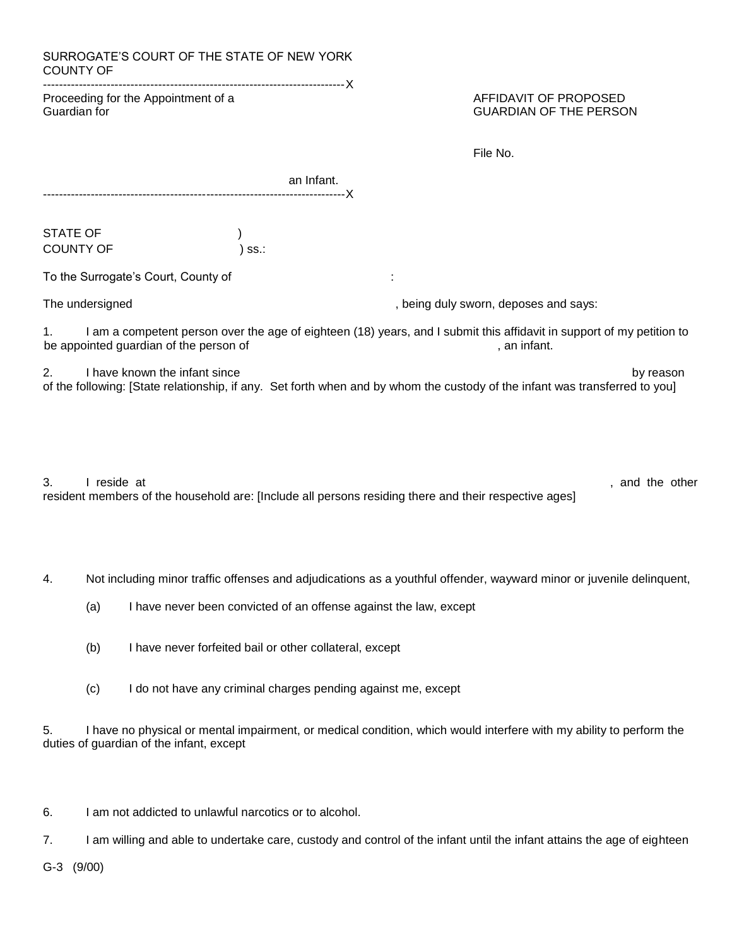| SURROGATE'S COURT OF THE STATE OF NEW YORK<br><b>COUNTY OF</b> |            |                                                        |
|----------------------------------------------------------------|------------|--------------------------------------------------------|
| Proceeding for the Appointment of a<br>Guardian for            |            | AFFIDAVIT OF PROPOSED<br><b>GUARDIAN OF THE PERSON</b> |
|                                                                |            | File No.                                               |
|                                                                | an Infant. |                                                        |
| <b>STATE OF</b><br><b>COUNTY OF</b>                            | SS.        |                                                        |
| To the Surrogate's Court, County of                            |            |                                                        |
|                                                                |            |                                                        |

The undersigned and says:  $\blacksquare$ , being duly sworn, deposes and says:

1. I am a competent person over the age of eighteen (18) years, and I submit this affidavit in support of my petition to be appointed guardian of the person of  $\blacksquare$ 

2. I have known the infant since by reason by reason by reason by reason of the following: [State relationship, if any. Set forth when and by whom the custody of the infant was transferred to you]

3. I reside at , and the other states are the other states and the other states and the other states are the other states and the other states are the states of the other states are the states of the other states are the o resident members of the household are: [Include all persons residing there and their respective ages]

4. Not including minor traffic offenses and adjudications as a youthful offender, wayward minor or juvenile delinquent,

- (a) I have never been convicted of an offense against the law, except
- (b) I have never forfeited bail or other collateral, except
- (c) I do not have any criminal charges pending against me, except

5. I have no physical or mental impairment, or medical condition, which would interfere with my ability to perform the duties of guardian of the infant, except

6. I am not addicted to unlawful narcotics or to alcohol.

7. I am willing and able to undertake care, custody and control of the infant until the infant attains the age of eighteen

G-3 (9/00)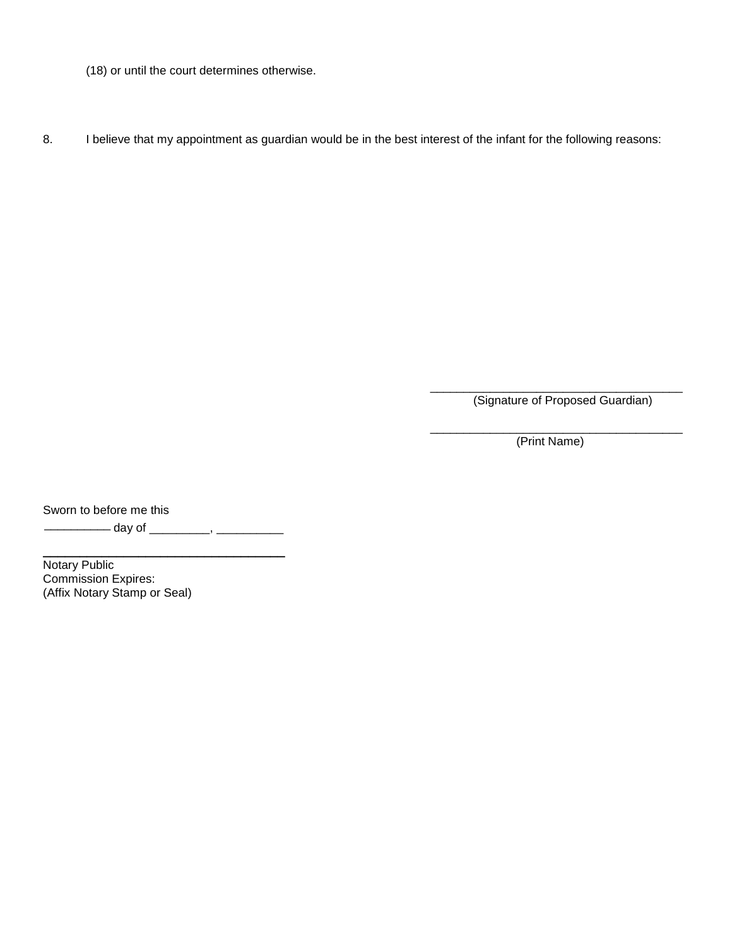- (18) or until the court determines otherwise.
- 8. I believe that my appointment as guardian would be in the best interest of the infant for the following reasons:

\_\_\_\_\_\_\_\_\_\_\_\_\_\_\_\_\_\_\_\_\_\_\_\_\_\_\_\_\_\_\_\_\_\_\_\_\_\_ (Signature of Proposed Guardian)

\_\_\_\_\_\_\_\_\_\_\_\_\_\_\_\_\_\_\_\_\_\_\_\_\_\_\_\_\_\_\_\_\_\_\_\_\_\_ (Print Name)

Sworn to before me this

\_\_\_\_\_\_\_\_\_\_ day of \_\_\_\_\_\_\_\_\_, \_\_\_\_\_\_\_\_\_\_

\_\_\_\_\_\_\_\_\_\_\_\_\_\_\_\_\_\_\_\_\_\_\_\_\_\_\_\_\_\_\_\_\_

Notary Public Commission Expires: (Affix Notary Stamp or Seal)